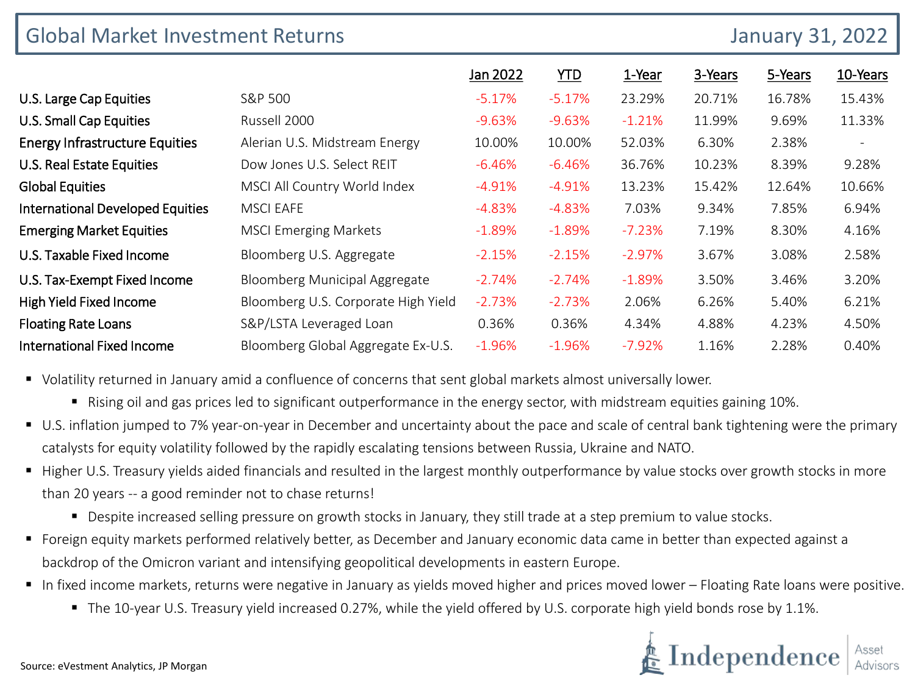| <b>Global Market Investment Returns</b><br><b>January 31, 2022</b> |                                     |          |          |          |         |         |          |  |
|--------------------------------------------------------------------|-------------------------------------|----------|----------|----------|---------|---------|----------|--|
|                                                                    |                                     | Jan 2022 | YID      | 1-Year   | 3-Years | 5-Years | 10-Years |  |
| U.S. Large Cap Equities                                            | S&P 500                             | $-5.17%$ | $-5.17%$ | 23.29%   | 20.71%  | 16.78%  | 15.43%   |  |
| <b>U.S. Small Cap Equities</b>                                     | Russell 2000                        | $-9.63%$ | $-9.63%$ | $-1.21%$ | 11.99%  | 9.69%   | 11.33%   |  |
| <b>Energy Infrastructure Equities</b>                              | Alerian U.S. Midstream Energy       | 10.00%   | 10.00%   | 52.03%   | 6.30%   | 2.38%   |          |  |
| <b>U.S. Real Estate Equities</b>                                   | Dow Jones U.S. Select REIT          | $-6.46%$ | $-6.46%$ | 36.76%   | 10.23%  | 8.39%   | 9.28%    |  |
| <b>Global Equities</b>                                             | MSCI All Country World Index        | $-4.91%$ | $-4.91%$ | 13.23%   | 15.42%  | 12.64%  | 10.66%   |  |
| <b>International Developed Equities</b>                            | <b>MSCI EAFE</b>                    | $-4.83%$ | $-4.83%$ | 7.03%    | 9.34%   | 7.85%   | 6.94%    |  |
| <b>Emerging Market Equities</b>                                    | <b>MSCI Emerging Markets</b>        | $-1.89%$ | $-1.89%$ | $-7.23%$ | 7.19%   | 8.30%   | 4.16%    |  |
| U.S. Taxable Fixed Income                                          | Bloomberg U.S. Aggregate            | $-2.15%$ | $-2.15%$ | $-2.97%$ | 3.67%   | 3.08%   | 2.58%    |  |
| U.S. Tax-Exempt Fixed Income                                       | Bloomberg Municipal Aggregate       | $-2.74%$ | $-2.74%$ | $-1.89%$ | 3.50%   | 3.46%   | 3.20%    |  |
| High Yield Fixed Income                                            | Bloomberg U.S. Corporate High Yield | $-2.73%$ | $-2.73%$ | 2.06%    | 6.26%   | 5.40%   | 6.21%    |  |
| <b>Floating Rate Loans</b>                                         | S&P/LSTA Leveraged Loan             | 0.36%    | 0.36%    | 4.34%    | 4.88%   | 4.23%   | 4.50%    |  |
| <b>International Fixed Income</b>                                  | Bloomberg Global Aggregate Ex-U.S.  | $-1.96%$ | $-1.96%$ | $-7.92%$ | 1.16%   | 2.28%   | 0.40%    |  |

Volatility returned in January amid a confluence of concerns that sent global markets almost universally lower.

- Rising oil and gas prices led to significant outperformance in the energy sector, with midstream equities gaining 10%.
- U.S. inflation jumped to 7% year-on-year in December and uncertainty about the pace and scale of central bank tightening were the primary catalysts for equity volatility followed by the rapidly escalating tensions between Russia, Ukraine and NATO.
- Higher U.S. Treasury yields aided financials and resulted in the largest monthly outperformance by value stocks over growth stocks in more than 20 years -- a good reminder not to chase returns!
	- Despite increased selling pressure on growth stocks in January, they still trade at a step premium to value stocks.
- Foreign equity markets performed relatively better, as December and January economic data came in better than expected against a backdrop of the Omicron variant and intensifying geopolitical developments in eastern Europe.
- In fixed income markets, returns were negative in January as yields moved higher and prices moved lower Floating Rate loans were positive.
	- The 10-year U.S. Treasury yield increased 0.27%, while the yield offered by U.S. corporate high yield bonds rose by 1.1%.

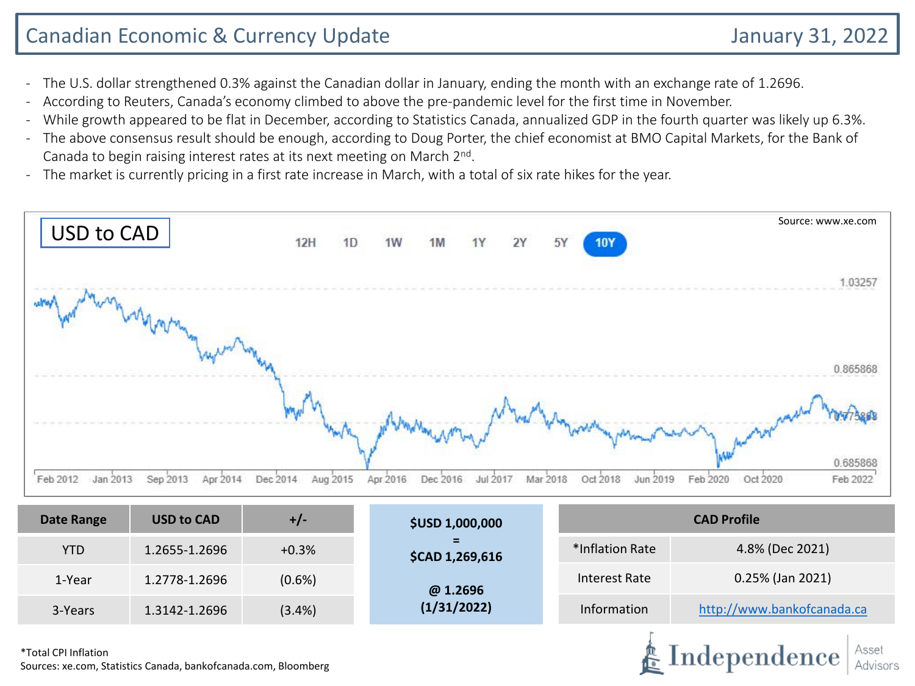# Canadian Economic & Currency Update January 31, 2022

Independence

- The U.S. dollar strengthened 0.3% against the Canadian dollar in January, ending the month with an exchange rate of 1.2696.
- According to Reuters, Canada's economy climbed to above the pre-pandemic level for the first time in November.
- While growth appeared to be flat in December, according to Statistics Canada, annualized GDP in the fourth quarter was likely up 6.3%.
- The above consensus result should be enough, according to Doug Porter, the chief economist at BMO Capital Markets, for the Bank of Canada to begin raising interest rates at its next meeting on March 2<sup>nd</sup>.
- The market is currently pricing in a first rate increase in March, with a total of six rate hikes for the year.



| Date Range | <b>USD to CAD</b> | $+/-$     | <b>\$USD 1,000,000</b>                  | <b>CAD Profile</b> |                            |  |  |
|------------|-------------------|-----------|-----------------------------------------|--------------------|----------------------------|--|--|
| <b>YTD</b> | 1.2655-1.2696     | $+0.3%$   | =<br>*Inflation Rate<br>\$CAD 1,269,616 |                    | 4.8% (Dec 2021)            |  |  |
| 1-Year     | 1.2778-1.2696     | $(0.6\%)$ | @ 1.2696                                | Interest Rate      | 0.25% (Jan 2021)           |  |  |
| 3-Years    | 1.3142-1.2696     | (3.4%)    | (1/31/2022)                             | <b>Information</b> | http://www.bankofcanada.ca |  |  |
|            |                   |           |                                         |                    |                            |  |  |

\*Total CPI Inflation Sources: xe.com, Statistics Canada, bankofcanada.com, Bloomberg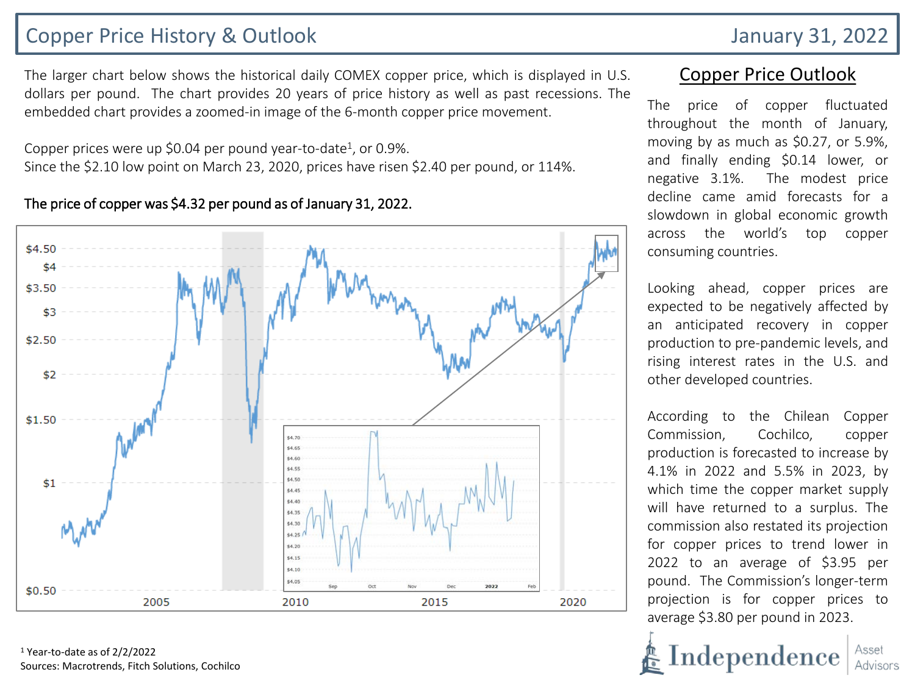### Copper Price History & Outlook January 31, 2022

The larger chart below shows the historical daily COMEX copper price, which is displayed in U.S. dollars per pound. The chart provides 20 years of price history as well as past recessions. The embedded chart provides a zoomed-in image of the 6-month copper price movement.

Copper prices were up \$0.04 per pound year-to-date<sup>1</sup>, or 0.9%. Since the \$2.10 low point on March 23, 2020, prices have risen \$2.40 per pound, or 114%.

#### $$4.50$ \$4 \$3.50 \$3  $$2.50$ \$2  $$1.50$ \$4.70 \$4.65 \$4.60 \$4.55 \$4.50  $$1$ \$4.45 \$4.40 \$4.35 \$4.30 \$4.25 \$4.20 \$4.15 \$4.10 \$4.05 2022  $$0.50$ 2005 2010 2015 2020

#### The price of copper was \$4.32 per pound as of January 31, 2022.

<sup>1</sup> Year-to-date as of 2/2/2022 Sources: Macrotrends, Fitch Solutions, Cochilco

### Copper Price Outlook

The price of copper fluctuated throughout the month of January, moving by as much as \$0.27, or 5.9%, and finally ending \$0.14 lower, or negative 3.1%. The modest price decline came amid forecasts for a slowdown in global economic growth across the world's top copper consuming countries.

Looking ahead, copper prices are expected to be negatively affected by an anticipated recovery in copper production to pre-pandemic levels, and rising interest rates in the U.S. and other developed countries.

According to the Chilean Copper Commission, Cochilco, copper production is forecasted to increase by 4.1% in 2022 and 5.5% in 2023, by which time the copper market supply will have returned to a surplus. The commission also restated its projection for copper prices to trend lower in 2022 to an average of \$3.95 per pound. The Commission's longer-term projection is for copper prices to average \$3.80 per pound in 2023.

Independence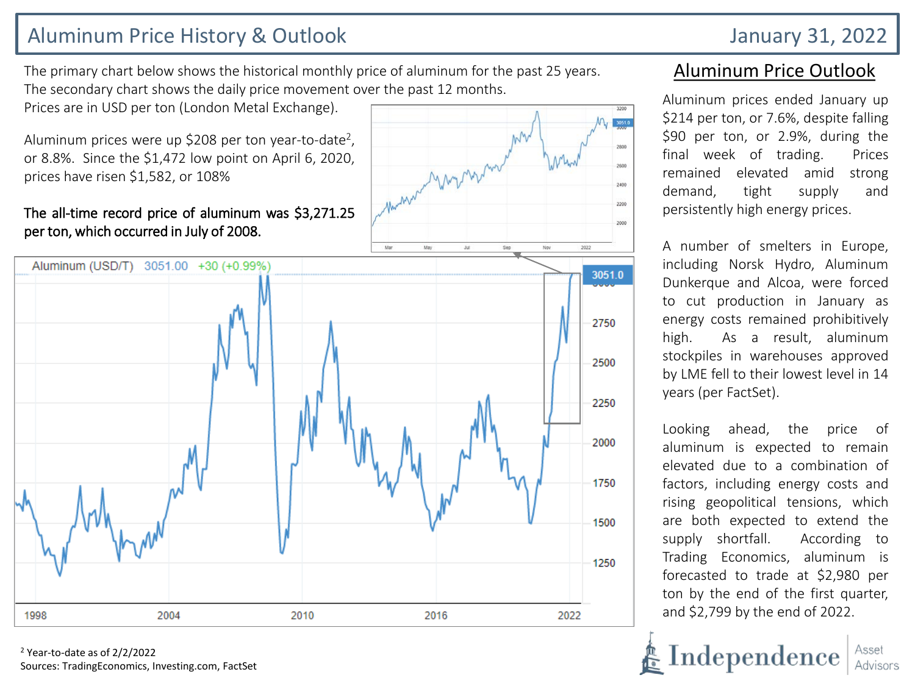# Aluminum Price History & Outlook January 31, 2022

The primary chart below shows the historical monthly price of aluminum for the past 25 years. The secondary chart shows the daily price movement over the past 12 months.

Prices are in USD per ton (London Metal Exchange).

Aluminum prices were up \$208 per ton year-to-date<sup>2</sup>, or 8.8%. Since the \$1,472 low point on April 6, 2020, prices have risen \$1,582, or 108%

#### The all-time record price of aluminum was \$3,271.25 per ton, which occurred in July of 2008.



<sup>2</sup> Year-to-date as of 2/2/2022 Sources: TradingEconomics, Investing.com, FactSet

### Aluminum Price Outlook

Aluminum prices ended January up \$214 per ton, or 7.6%, despite falling \$90 per ton, or 2.9%, during the final week of trading. Prices remained elevated amid strong demand, tight supply and persistently high energy prices.

2400 2200

> A number of smelters in Europe, including Norsk Hydro, Aluminum Dunkerque and Alcoa, were forced to cut production in January as energy costs remained prohibitively high. As a result, aluminum stockpiles in warehouses approved by LME fell to their lowest level in 14 years (per FactSet).

> Looking ahead, the price of aluminum is expected to remain elevated due to a combination of factors, including energy costs and rising geopolitical tensions, which are both expected to extend the supply shortfall. According to Trading Economics, aluminum is forecasted to trade at \$2,980 per ton by the end of the first quarter, and \$2,799 by the end of 2022.

Independence